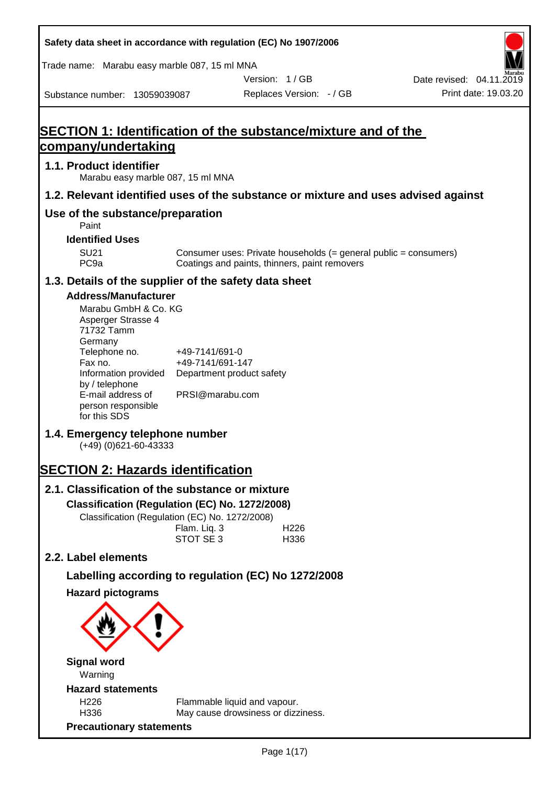| Safety data sheet in accordance with regulation (EC) No 1907/2006                  |                                                                 |                                                                                                                   |                          |
|------------------------------------------------------------------------------------|-----------------------------------------------------------------|-------------------------------------------------------------------------------------------------------------------|--------------------------|
| Trade name: Marabu easy marble 087, 15 ml MNA                                      |                                                                 |                                                                                                                   |                          |
|                                                                                    |                                                                 | Version: 1/GB                                                                                                     | Date revised: 04.11.2019 |
| Substance number: 13059039087                                                      |                                                                 | Replaces Version: - / GB                                                                                          | Print date: 19.03.20     |
|                                                                                    |                                                                 |                                                                                                                   |                          |
| <b>SECTION 1: Identification of the substance/mixture and of the</b>               |                                                                 |                                                                                                                   |                          |
| company/undertaking                                                                |                                                                 |                                                                                                                   |                          |
| 1.1. Product identifier<br>Marabu easy marble 087, 15 ml MNA                       |                                                                 |                                                                                                                   |                          |
| 1.2. Relevant identified uses of the substance or mixture and uses advised against |                                                                 |                                                                                                                   |                          |
| Use of the substance/preparation<br>Paint                                          |                                                                 |                                                                                                                   |                          |
| <b>Identified Uses</b>                                                             |                                                                 |                                                                                                                   |                          |
| <b>SU21</b><br>PC <sub>9a</sub>                                                    |                                                                 | Consumer uses: Private households (= general public = consumers)<br>Coatings and paints, thinners, paint removers |                          |
| 1.3. Details of the supplier of the safety data sheet                              |                                                                 |                                                                                                                   |                          |
| <b>Address/Manufacturer</b>                                                        |                                                                 |                                                                                                                   |                          |
| Marabu GmbH & Co. KG<br>Asperger Strasse 4<br>71732 Tamm<br>Germany                |                                                                 |                                                                                                                   |                          |
| Telephone no.<br>Fax no.<br>Information provided                                   | +49-7141/691-0<br>+49-7141/691-147<br>Department product safety |                                                                                                                   |                          |
| by / telephone                                                                     |                                                                 |                                                                                                                   |                          |
| E-mail address of<br>person responsible<br>for this SDS                            | PRSI@marabu.com                                                 |                                                                                                                   |                          |
| 1.4. Emergency telephone number<br>$(+49)$ (0)621-60-43333                         |                                                                 |                                                                                                                   |                          |
| <b>SECTION 2: Hazards identification</b>                                           |                                                                 |                                                                                                                   |                          |
| 2.1. Classification of the substance or mixture                                    |                                                                 |                                                                                                                   |                          |
| Classification (Regulation (EC) No. 1272/2008)                                     |                                                                 |                                                                                                                   |                          |
| Classification (Regulation (EC) No. 1272/2008)                                     | Flam. Liq. 3                                                    | H226                                                                                                              |                          |
|                                                                                    | STOT SE 3                                                       | H336                                                                                                              |                          |
| 2.2. Label elements                                                                |                                                                 |                                                                                                                   |                          |
| Labelling according to regulation (EC) No 1272/2008                                |                                                                 |                                                                                                                   |                          |
| <b>Hazard pictograms</b>                                                           |                                                                 |                                                                                                                   |                          |
|                                                                                    |                                                                 |                                                                                                                   |                          |
| <b>Signal word</b>                                                                 |                                                                 |                                                                                                                   |                          |
| Warning                                                                            |                                                                 |                                                                                                                   |                          |
| <b>Hazard statements</b><br>H226                                                   | Flammable liquid and vapour.                                    |                                                                                                                   |                          |
| H336                                                                               |                                                                 | May cause drowsiness or dizziness.                                                                                |                          |
| <b>Precautionary statements</b>                                                    |                                                                 |                                                                                                                   |                          |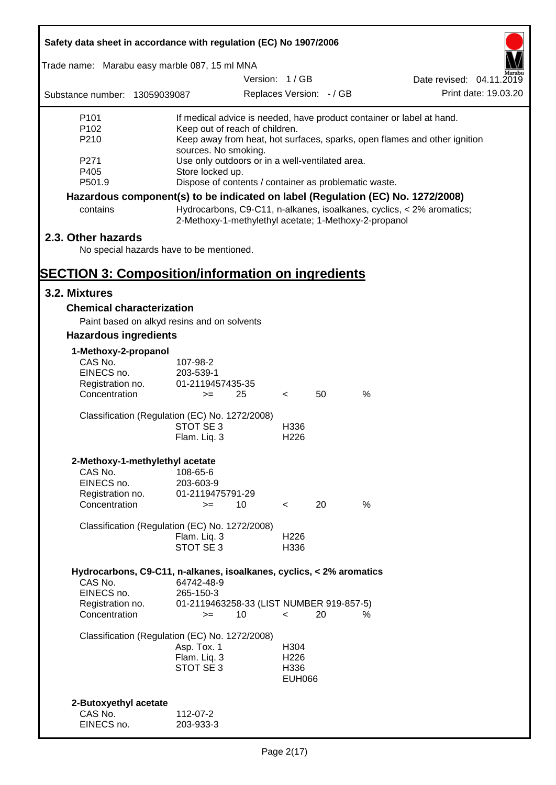| Safety data sheet in accordance with regulation (EC) No 1907/2006               |                                                       |                          |                  |    |      |                                                                           |
|---------------------------------------------------------------------------------|-------------------------------------------------------|--------------------------|------------------|----|------|---------------------------------------------------------------------------|
| Trade name: Marabu easy marble 087, 15 ml MNA                                   |                                                       |                          |                  |    |      |                                                                           |
|                                                                                 |                                                       | Version: 1/GB            |                  |    |      | Date revised: 04.11.2019                                                  |
| Substance number: 13059039087                                                   |                                                       | Replaces Version: - / GB |                  |    |      | Print date: 19.03.20                                                      |
| P <sub>101</sub>                                                                |                                                       |                          |                  |    |      | If medical advice is needed, have product container or label at hand.     |
| P <sub>102</sub>                                                                | Keep out of reach of children.                        |                          |                  |    |      |                                                                           |
| P210                                                                            | sources. No smoking.                                  |                          |                  |    |      | Keep away from heat, hot surfaces, sparks, open flames and other ignition |
| P271                                                                            | Use only outdoors or in a well-ventilated area.       |                          |                  |    |      |                                                                           |
| P405                                                                            | Store locked up.                                      |                          |                  |    |      |                                                                           |
| P501.9                                                                          | Dispose of contents / container as problematic waste. |                          |                  |    |      |                                                                           |
| Hazardous component(s) to be indicated on label (Regulation (EC) No. 1272/2008) |                                                       |                          |                  |    |      |                                                                           |
| contains                                                                        | 2-Methoxy-1-methylethyl acetate; 1-Methoxy-2-propanol |                          |                  |    |      | Hydrocarbons, C9-C11, n-alkanes, isoalkanes, cyclics, < 2% aromatics;     |
| 2.3. Other hazards                                                              |                                                       |                          |                  |    |      |                                                                           |
| No special hazards have to be mentioned.                                        |                                                       |                          |                  |    |      |                                                                           |
| <b>SECTION 3: Composition/information on ingredients</b>                        |                                                       |                          |                  |    |      |                                                                           |
| 3.2. Mixtures                                                                   |                                                       |                          |                  |    |      |                                                                           |
| <b>Chemical characterization</b>                                                |                                                       |                          |                  |    |      |                                                                           |
| Paint based on alkyd resins and on solvents                                     |                                                       |                          |                  |    |      |                                                                           |
| <b>Hazardous ingredients</b>                                                    |                                                       |                          |                  |    |      |                                                                           |
| 1-Methoxy-2-propanol                                                            |                                                       |                          |                  |    |      |                                                                           |
| CAS No.                                                                         | 107-98-2                                              |                          |                  |    |      |                                                                           |
| EINECS no.<br>Registration no.                                                  | 203-539-1<br>01-2119457435-35                         |                          |                  |    |      |                                                                           |
| Concentration                                                                   | $>=$                                                  | 25                       | $\lt$            | 50 | $\%$ |                                                                           |
|                                                                                 |                                                       |                          |                  |    |      |                                                                           |
| Classification (Regulation (EC) No. 1272/2008)                                  | STOT SE 3                                             |                          | H336             |    |      |                                                                           |
|                                                                                 | Flam. Liq. 3                                          |                          | H <sub>226</sub> |    |      |                                                                           |
|                                                                                 |                                                       |                          |                  |    |      |                                                                           |
| 2-Methoxy-1-methylethyl acetate<br>CAS No.                                      | 108-65-6                                              |                          |                  |    |      |                                                                           |
| EINECS no.                                                                      | 203-603-9                                             |                          |                  |    |      |                                                                           |
| Registration no.                                                                | 01-2119475791-29                                      |                          |                  |    |      |                                                                           |
| Concentration                                                                   | $>=$                                                  | 10                       | $\prec$          | 20 | %    |                                                                           |
| Classification (Regulation (EC) No. 1272/2008)                                  |                                                       |                          |                  |    |      |                                                                           |
|                                                                                 | Flam. Liq. 3                                          |                          | H <sub>226</sub> |    |      |                                                                           |
|                                                                                 | STOT SE 3                                             |                          | H336             |    |      |                                                                           |
| Hydrocarbons, C9-C11, n-alkanes, isoalkanes, cyclics, < 2% aromatics            |                                                       |                          |                  |    |      |                                                                           |
| CAS No.                                                                         | 64742-48-9                                            |                          |                  |    |      |                                                                           |
| EINECS no.<br>Registration no.                                                  | 265-150-3<br>01-2119463258-33 (LIST NUMBER 919-857-5) |                          |                  |    |      |                                                                           |
| Concentration                                                                   | $>=$                                                  | 10                       | $\prec$          | 20 | %    |                                                                           |
| Classification (Regulation (EC) No. 1272/2008)                                  |                                                       |                          |                  |    |      |                                                                           |
|                                                                                 | Asp. Tox. 1                                           |                          | H304             |    |      |                                                                           |
|                                                                                 | Flam. Liq. 3                                          |                          | H <sub>226</sub> |    |      |                                                                           |
|                                                                                 | STOT SE 3                                             |                          | H336             |    |      |                                                                           |
|                                                                                 |                                                       |                          | <b>EUH066</b>    |    |      |                                                                           |
| 2-Butoxyethyl acetate                                                           |                                                       |                          |                  |    |      |                                                                           |
| CAS No.                                                                         | 112-07-2                                              |                          |                  |    |      |                                                                           |
| EINECS no.                                                                      | 203-933-3                                             |                          |                  |    |      |                                                                           |

ī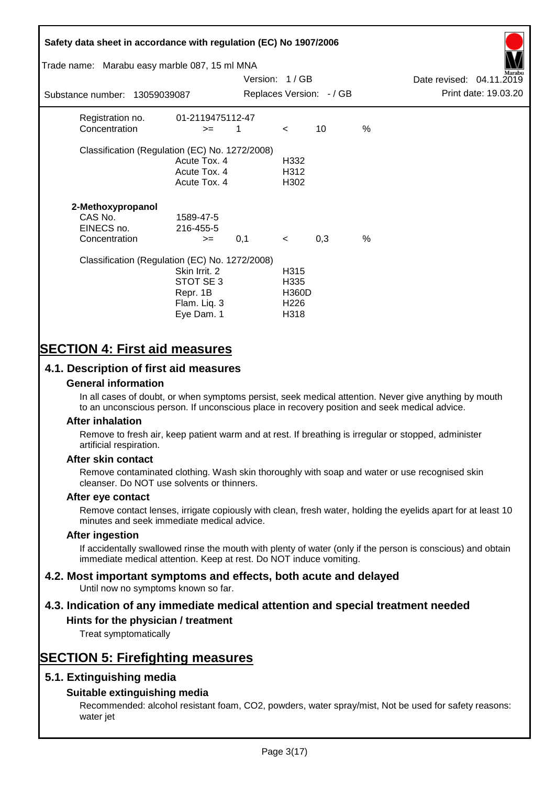## **Safety data sheet in accordance with regulation (EC) No 1907/2006** Substance number: 13059039087 Version: 1 / GB Replaces Version:  $-$  / GB Print date: 19.03.20 Date revised: 04.11.2019 Trade name: Marabu easy marble 087, 15 ml MNA Registration no. 01-2119475112-47  $\text{Concentration}$   $\geq$  1 < 10 % Classification (Regulation (EC) No. 1272/2008) Acute Tox. 4 H332 Acute Tox. 4 H312 Acute Tox. 4 H302 **2-Methoxypropanol** CAS No. 1589-47-5 EINECS no. 216-455-5  $\text{Concentration}$   $\rightarrow$  0.1 < 0.3 % Classification (Regulation (EC) No. 1272/2008) Skin Irrit. 2 H315 STOT SE 3 H335 Repr. 1B H360D Flam. Liq. 3 H226 Eye Dam. 1 H318

# **SECTION 4: First aid measures**

## **4.1. Description of first aid measures**

## **General information**

In all cases of doubt, or when symptoms persist, seek medical attention. Never give anything by mouth to an unconscious person. If unconscious place in recovery position and seek medical advice.

## **After inhalation**

Remove to fresh air, keep patient warm and at rest. If breathing is irregular or stopped, administer artificial respiration.

## **After skin contact**

Remove contaminated clothing. Wash skin thoroughly with soap and water or use recognised skin cleanser. Do NOT use solvents or thinners.

## **After eye contact**

Remove contact lenses, irrigate copiously with clean, fresh water, holding the eyelids apart for at least 10 minutes and seek immediate medical advice.

#### **After ingestion**

If accidentally swallowed rinse the mouth with plenty of water (only if the person is conscious) and obtain immediate medical attention. Keep at rest. Do NOT induce vomiting.

# **4.2. Most important symptoms and effects, both acute and delayed**

Until now no symptoms known so far.

## **4.3. Indication of any immediate medical attention and special treatment needed**

## **Hints for the physician / treatment**

Treat symptomatically

## **SECTION 5: Firefighting measures**

## **5.1. Extinguishing media**

## **Suitable extinguishing media**

Recommended: alcohol resistant foam, CO2, powders, water spray/mist, Not be used for safety reasons: water jet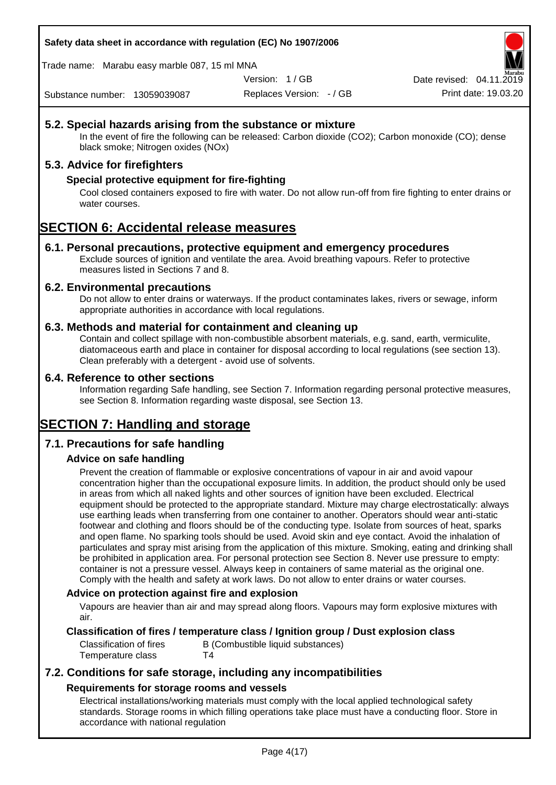Trade name: Marabu easy marble 087, 15 ml MNA

Version: 1 / GB

Replaces Version: - / GB Print date: 19.03.20 Date revised: 04.11.2

Substance number: 13059039087

## **5.2. Special hazards arising from the substance or mixture**

In the event of fire the following can be released: Carbon dioxide (CO2); Carbon monoxide (CO); dense black smoke; Nitrogen oxides (NOx)

## **5.3. Advice for firefighters**

## **Special protective equipment for fire-fighting**

Cool closed containers exposed to fire with water. Do not allow run-off from fire fighting to enter drains or water courses.

## **SECTION 6: Accidental release measures**

## **6.1. Personal precautions, protective equipment and emergency procedures**

Exclude sources of ignition and ventilate the area. Avoid breathing vapours. Refer to protective measures listed in Sections 7 and 8.

## **6.2. Environmental precautions**

Do not allow to enter drains or waterways. If the product contaminates lakes, rivers or sewage, inform appropriate authorities in accordance with local regulations.

## **6.3. Methods and material for containment and cleaning up**

Contain and collect spillage with non-combustible absorbent materials, e.g. sand, earth, vermiculite, diatomaceous earth and place in container for disposal according to local regulations (see section 13). Clean preferably with a detergent - avoid use of solvents.

## **6.4. Reference to other sections**

Information regarding Safe handling, see Section 7. Information regarding personal protective measures, see Section 8. Information regarding waste disposal, see Section 13.

# **SECTION 7: Handling and storage**

## **7.1. Precautions for safe handling**

## **Advice on safe handling**

Prevent the creation of flammable or explosive concentrations of vapour in air and avoid vapour concentration higher than the occupational exposure limits. In addition, the product should only be used in areas from which all naked lights and other sources of ignition have been excluded. Electrical equipment should be protected to the appropriate standard. Mixture may charge electrostatically: always use earthing leads when transferring from one container to another. Operators should wear anti-static footwear and clothing and floors should be of the conducting type. Isolate from sources of heat, sparks and open flame. No sparking tools should be used. Avoid skin and eye contact. Avoid the inhalation of particulates and spray mist arising from the application of this mixture. Smoking, eating and drinking shall be prohibited in application area. For personal protection see Section 8. Never use pressure to empty: container is not a pressure vessel. Always keep in containers of same material as the original one. Comply with the health and safety at work laws. Do not allow to enter drains or water courses.

## **Advice on protection against fire and explosion**

Vapours are heavier than air and may spread along floors. Vapours may form explosive mixtures with air.

## **Classification of fires / temperature class / Ignition group / Dust explosion class**

Classification of fires B (Combustible liquid substances) Temperature class T4

## **7.2. Conditions for safe storage, including any incompatibilities Requirements for storage rooms and vessels**

Electrical installations/working materials must comply with the local applied technological safety standards. Storage rooms in which filling operations take place must have a conducting floor. Store in accordance with national regulation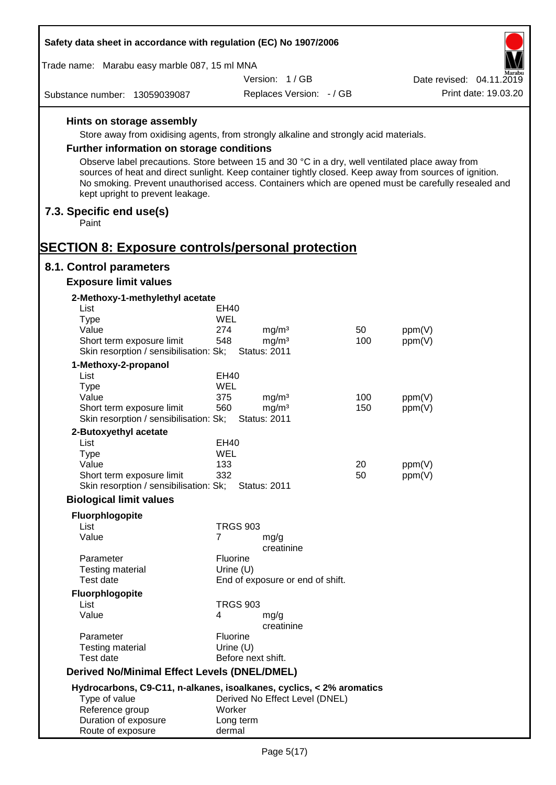| Safety data sheet in accordance with regulation (EC) No 1907/2006                                                                                                                                                                              |                      |                                          |     |                                                                                                     |
|------------------------------------------------------------------------------------------------------------------------------------------------------------------------------------------------------------------------------------------------|----------------------|------------------------------------------|-----|-----------------------------------------------------------------------------------------------------|
| Trade name: Marabu easy marble 087, 15 ml MNA                                                                                                                                                                                                  |                      |                                          |     |                                                                                                     |
|                                                                                                                                                                                                                                                |                      | Version: 1/GB                            |     | Date revised: 04.11.2019                                                                            |
| Substance number: 13059039087                                                                                                                                                                                                                  |                      | Replaces Version: - / GB                 |     | Print date: 19.03.20                                                                                |
| Hints on storage assembly<br>Store away from oxidising agents, from strongly alkaline and strongly acid materials.<br><b>Further information on storage conditions</b>                                                                         |                      |                                          |     |                                                                                                     |
| Observe label precautions. Store between 15 and 30 °C in a dry, well ventilated place away from<br>sources of heat and direct sunlight. Keep container tightly closed. Keep away from sources of ignition.<br>kept upright to prevent leakage. |                      |                                          |     | No smoking. Prevent unauthorised access. Containers which are opened must be carefully resealed and |
| 7.3. Specific end use(s)<br>Paint                                                                                                                                                                                                              |                      |                                          |     |                                                                                                     |
| <b>SECTION 8: Exposure controls/personal protection</b>                                                                                                                                                                                        |                      |                                          |     |                                                                                                     |
| 8.1. Control parameters                                                                                                                                                                                                                        |                      |                                          |     |                                                                                                     |
| <b>Exposure limit values</b>                                                                                                                                                                                                                   |                      |                                          |     |                                                                                                     |
| 2-Methoxy-1-methylethyl acetate                                                                                                                                                                                                                |                      |                                          |     |                                                                                                     |
| List                                                                                                                                                                                                                                           | EH40<br>WEL          |                                          |     |                                                                                                     |
| <b>Type</b><br>Value                                                                                                                                                                                                                           | 274                  | mg/m <sup>3</sup>                        | 50  | ppm(V)                                                                                              |
| Short term exposure limit<br>Skin resorption / sensibilisation: Sk;                                                                                                                                                                            | 548                  | mg/m <sup>3</sup><br><b>Status: 2011</b> | 100 | ppm(V)                                                                                              |
| 1-Methoxy-2-propanol                                                                                                                                                                                                                           |                      |                                          |     |                                                                                                     |
| List<br><b>Type</b>                                                                                                                                                                                                                            | EH40<br>WEL          |                                          |     |                                                                                                     |
| Value                                                                                                                                                                                                                                          | 375                  | mg/m <sup>3</sup>                        | 100 | ppm(V)                                                                                              |
| Short term exposure limit<br>Skin resorption / sensibilisation: Sk;                                                                                                                                                                            | 560                  | mg/m <sup>3</sup><br><b>Status: 2011</b> | 150 | ppm(V)                                                                                              |
| 2-Butoxyethyl acetate                                                                                                                                                                                                                          |                      |                                          |     |                                                                                                     |
| List                                                                                                                                                                                                                                           | <b>EH40</b>          |                                          |     |                                                                                                     |
| <b>Type</b><br>Value                                                                                                                                                                                                                           | WEL<br>133           |                                          | 20  | ppm(V)                                                                                              |
| Short term exposure limit                                                                                                                                                                                                                      | 332                  |                                          | 50  | ppm(V)                                                                                              |
| Skin resorption / sensibilisation: Sk;                                                                                                                                                                                                         |                      | <b>Status: 2011</b>                      |     |                                                                                                     |
| <b>Biological limit values</b>                                                                                                                                                                                                                 |                      |                                          |     |                                                                                                     |
| Fluorphlogopite                                                                                                                                                                                                                                |                      |                                          |     |                                                                                                     |
| List<br>Value                                                                                                                                                                                                                                  | <b>TRGS 903</b><br>7 |                                          |     |                                                                                                     |
|                                                                                                                                                                                                                                                |                      | mg/g<br>creatinine                       |     |                                                                                                     |
| Parameter                                                                                                                                                                                                                                      | <b>Fluorine</b>      |                                          |     |                                                                                                     |
| <b>Testing material</b><br>Test date                                                                                                                                                                                                           | Urine $(U)$          |                                          |     |                                                                                                     |
|                                                                                                                                                                                                                                                |                      | End of exposure or end of shift.         |     |                                                                                                     |
| Fluorphlogopite<br>List                                                                                                                                                                                                                        | <b>TRGS 903</b>      |                                          |     |                                                                                                     |
| Value                                                                                                                                                                                                                                          | 4                    | mg/g<br>creatinine                       |     |                                                                                                     |
| Parameter                                                                                                                                                                                                                                      | <b>Fluorine</b>      |                                          |     |                                                                                                     |
| <b>Testing material</b><br>Test date                                                                                                                                                                                                           | Urine $(U)$          | Before next shift.                       |     |                                                                                                     |
| <b>Derived No/Minimal Effect Levels (DNEL/DMEL)</b>                                                                                                                                                                                            |                      |                                          |     |                                                                                                     |
| Hydrocarbons, C9-C11, n-alkanes, isoalkanes, cyclics, < 2% aromatics                                                                                                                                                                           |                      |                                          |     |                                                                                                     |
| Type of value                                                                                                                                                                                                                                  |                      | Derived No Effect Level (DNEL)           |     |                                                                                                     |
| Reference group                                                                                                                                                                                                                                | Worker               |                                          |     |                                                                                                     |
| Duration of exposure<br>Route of exposure                                                                                                                                                                                                      | Long term<br>dermal  |                                          |     |                                                                                                     |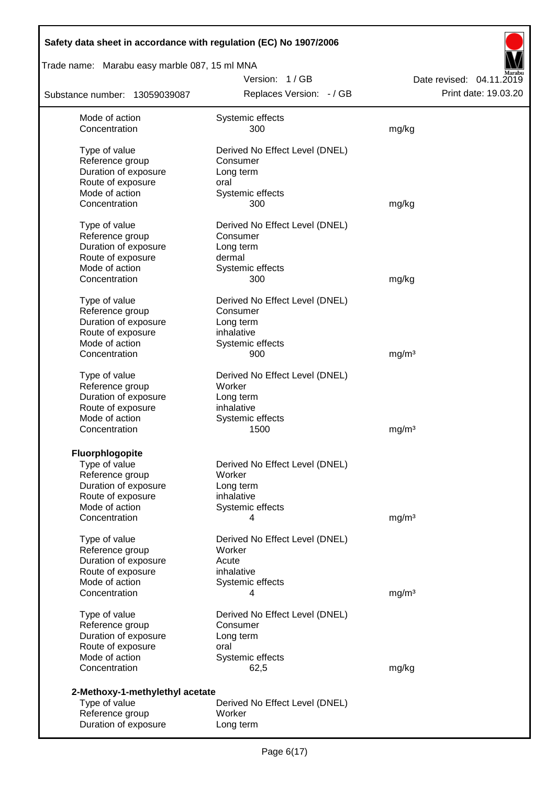| Safety data sheet in accordance with regulation (EC) No 1907/2006 |                                |                          |
|-------------------------------------------------------------------|--------------------------------|--------------------------|
| Trade name: Marabu easy marble 087, 15 ml MNA                     |                                |                          |
|                                                                   | Version: 1/GB                  | Date revised: 04.11.2019 |
| Substance number: 13059039087                                     | Replaces Version: - / GB       | Print date: 19.03.20     |
| Mode of action                                                    | Systemic effects               |                          |
| Concentration                                                     | 300                            | mg/kg                    |
| Type of value                                                     | Derived No Effect Level (DNEL) |                          |
| Reference group                                                   | Consumer                       |                          |
| Duration of exposure                                              | Long term                      |                          |
| Route of exposure                                                 | oral                           |                          |
| Mode of action                                                    | Systemic effects               |                          |
| Concentration                                                     | 300                            | mg/kg                    |
| Type of value                                                     | Derived No Effect Level (DNEL) |                          |
| Reference group                                                   | Consumer                       |                          |
| Duration of exposure                                              | Long term                      |                          |
| Route of exposure                                                 | dermal                         |                          |
| Mode of action                                                    | Systemic effects               |                          |
| Concentration                                                     | 300                            | mg/kg                    |
|                                                                   |                                |                          |
| Type of value                                                     | Derived No Effect Level (DNEL) |                          |
| Reference group                                                   | Consumer                       |                          |
| Duration of exposure                                              | Long term                      |                          |
| Route of exposure<br>Mode of action                               | inhalative<br>Systemic effects |                          |
| Concentration                                                     | 900                            | mg/m <sup>3</sup>        |
|                                                                   |                                |                          |
| Type of value                                                     | Derived No Effect Level (DNEL) |                          |
| Reference group                                                   | Worker                         |                          |
| Duration of exposure                                              | Long term                      |                          |
| Route of exposure                                                 | inhalative                     |                          |
| Mode of action                                                    | Systemic effects               |                          |
| Concentration                                                     | 1500                           | mg/m <sup>3</sup>        |
| Fluorphlogopite                                                   |                                |                          |
| Type of value                                                     | Derived No Effect Level (DNEL) |                          |
| Reference group                                                   | Worker                         |                          |
| Duration of exposure                                              | Long term                      |                          |
| Route of exposure                                                 | inhalative                     |                          |
| Mode of action                                                    | Systemic effects               |                          |
| Concentration                                                     | 4                              | mg/m <sup>3</sup>        |
| Type of value                                                     | Derived No Effect Level (DNEL) |                          |
| Reference group                                                   | Worker                         |                          |
| Duration of exposure                                              | Acute                          |                          |
| Route of exposure                                                 | inhalative                     |                          |
| Mode of action                                                    | Systemic effects               |                          |
| Concentration                                                     | 4                              | mg/m <sup>3</sup>        |
|                                                                   |                                |                          |
| Type of value                                                     | Derived No Effect Level (DNEL) |                          |
| Reference group                                                   | Consumer                       |                          |
| Duration of exposure                                              | Long term                      |                          |
| Route of exposure<br>Mode of action                               | oral                           |                          |
| Concentration                                                     | Systemic effects<br>62,5       | mg/kg                    |
|                                                                   |                                |                          |
| 2-Methoxy-1-methylethyl acetate                                   |                                |                          |
| Type of value                                                     | Derived No Effect Level (DNEL) |                          |
| Reference group                                                   | Worker                         |                          |
| Duration of exposure                                              | Long term                      |                          |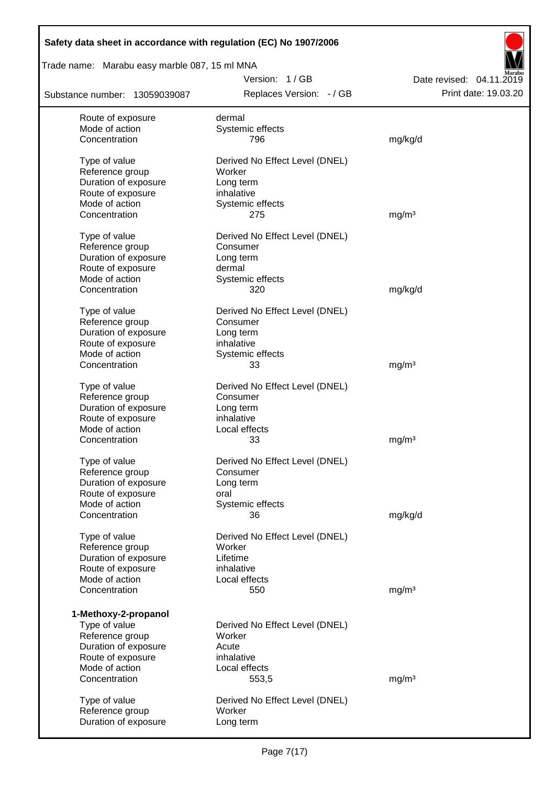## Trade name: Marabu easy marble 087, 15 ml MNA

Replaces Version: - / GB Print date: 19.03.20 Date revised: 04.11.2019

| Substance number: 13059039087 | Replaces Version: - / GB       | Print date: 19.03.20 |
|-------------------------------|--------------------------------|----------------------|
| Route of exposure             | dermal                         |                      |
| Mode of action                | Systemic effects               |                      |
| Concentration                 | 796                            | mg/kg/d              |
| Type of value                 | Derived No Effect Level (DNEL) |                      |
| Reference group               | Worker                         |                      |
| Duration of exposure          | Long term                      |                      |
| Route of exposure             | inhalative                     |                      |
| Mode of action                | Systemic effects               |                      |
| Concentration                 | 275                            | mg/m <sup>3</sup>    |
| Type of value                 | Derived No Effect Level (DNEL) |                      |
| Reference group               | Consumer                       |                      |
| Duration of exposure          | Long term                      |                      |
| Route of exposure             | dermal                         |                      |
| Mode of action                | Systemic effects               |                      |
| Concentration                 | 320                            | mg/kg/d              |
| Type of value                 | Derived No Effect Level (DNEL) |                      |
| Reference group               | Consumer                       |                      |
| Duration of exposure          | Long term                      |                      |
| Route of exposure             | inhalative                     |                      |
| Mode of action                | Systemic effects               |                      |
| Concentration                 | 33                             | mg/m <sup>3</sup>    |
| Type of value                 | Derived No Effect Level (DNEL) |                      |
| Reference group               | Consumer                       |                      |
| Duration of exposure          | Long term                      |                      |
| Route of exposure             | inhalative                     |                      |
| Mode of action                | Local effects                  |                      |
| Concentration                 | 33                             | mg/m <sup>3</sup>    |
| Type of value                 | Derived No Effect Level (DNEL) |                      |
| Reference group               | Consumer                       |                      |
| Duration of exposure          | Long term                      |                      |
| Route of exposure             | oral                           |                      |
| Mode of action                | Systemic effects               |                      |
| Concentration                 | 36                             | mg/kg/d              |
| Type of value                 | Derived No Effect Level (DNEL) |                      |
| Reference group               | Worker                         |                      |
| Duration of exposure          | Lifetime                       |                      |
| Route of exposure             | inhalative                     |                      |
| Mode of action                | Local effects                  |                      |
| Concentration                 | 550                            | mg/m <sup>3</sup>    |
| 1-Methoxy-2-propanol          |                                |                      |
| Type of value                 | Derived No Effect Level (DNEL) |                      |
| Reference group               | Worker                         |                      |
| Duration of exposure          | Acute                          |                      |
| Route of exposure             | inhalative                     |                      |
| Mode of action                | Local effects                  |                      |
| Concentration                 | 553,5                          | mg/m <sup>3</sup>    |
|                               |                                |                      |
| Type of value                 | Derived No Effect Level (DNEL) |                      |
| Reference group               | Worker                         |                      |
| Duration of exposure          | Long term                      |                      |
|                               |                                |                      |

Version: 1 / GB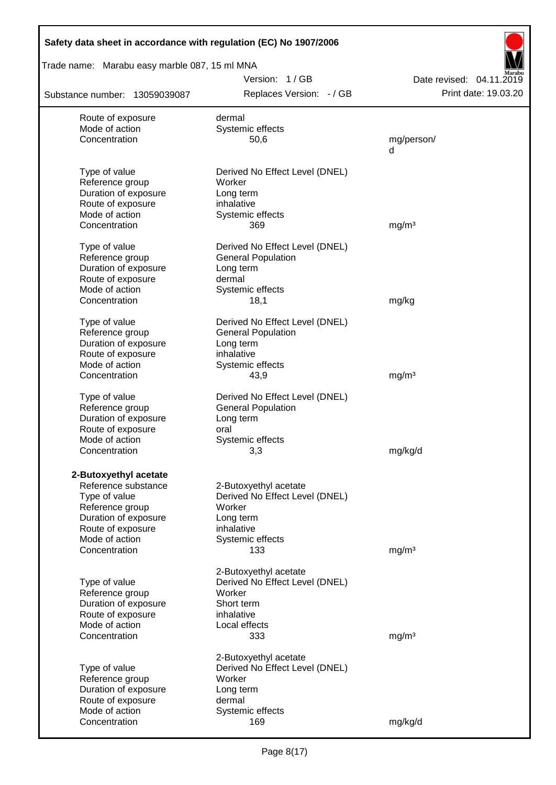| Safety data sheet in accordance with regulation (EC) No 1907/2006 |                                          |                          |
|-------------------------------------------------------------------|------------------------------------------|--------------------------|
| Trade name: Marabu easy marble 087, 15 ml MNA                     |                                          |                          |
|                                                                   | Version: 1/GB                            | Date revised: 04.11.2019 |
| Substance number: 13059039087                                     | Replaces Version: - / GB                 | Print date: 19.03.20     |
| Route of exposure                                                 | dermal                                   |                          |
| Mode of action                                                    | Systemic effects                         |                          |
| Concentration                                                     | 50,6                                     | mg/person/<br>d          |
|                                                                   |                                          |                          |
| Type of value<br>Reference group                                  | Derived No Effect Level (DNEL)<br>Worker |                          |
| Duration of exposure                                              | Long term                                |                          |
| Route of exposure                                                 | inhalative                               |                          |
| Mode of action                                                    | Systemic effects                         |                          |
| Concentration                                                     | 369                                      | mg/m <sup>3</sup>        |
| Type of value                                                     | Derived No Effect Level (DNEL)           |                          |
| Reference group                                                   | <b>General Population</b>                |                          |
| Duration of exposure                                              | Long term                                |                          |
| Route of exposure                                                 | dermal                                   |                          |
| Mode of action                                                    | Systemic effects                         |                          |
| Concentration                                                     | 18,1                                     | mg/kg                    |
| Type of value                                                     | Derived No Effect Level (DNEL)           |                          |
| Reference group                                                   | <b>General Population</b>                |                          |
| Duration of exposure                                              | Long term                                |                          |
| Route of exposure                                                 | inhalative                               |                          |
| Mode of action                                                    | Systemic effects                         |                          |
| Concentration                                                     | 43,9                                     | mg/m <sup>3</sup>        |
| Type of value                                                     | Derived No Effect Level (DNEL)           |                          |
| Reference group                                                   | <b>General Population</b>                |                          |
| Duration of exposure                                              | Long term                                |                          |
| Route of exposure                                                 | oral                                     |                          |
| Mode of action                                                    | Systemic effects                         |                          |
| Concentration                                                     | 3,3                                      | mg/kg/d                  |
| 2-Butoxyethyl acetate                                             |                                          |                          |
| Reference substance                                               | 2-Butoxyethyl acetate                    |                          |
| Type of value                                                     | Derived No Effect Level (DNEL)           |                          |
| Reference group                                                   | Worker                                   |                          |
| Duration of exposure                                              | Long term                                |                          |
| Route of exposure                                                 | inhalative                               |                          |
| Mode of action                                                    | Systemic effects                         |                          |
| Concentration                                                     | 133                                      | mg/m <sup>3</sup>        |
|                                                                   | 2-Butoxyethyl acetate                    |                          |
| Type of value                                                     | Derived No Effect Level (DNEL)           |                          |
| Reference group                                                   | Worker                                   |                          |
| Duration of exposure                                              | Short term                               |                          |
| Route of exposure                                                 | inhalative                               |                          |
| Mode of action                                                    | Local effects                            |                          |
| Concentration                                                     | 333                                      | mg/m <sup>3</sup>        |
|                                                                   | 2-Butoxyethyl acetate                    |                          |
| Type of value                                                     | Derived No Effect Level (DNEL)           |                          |
| Reference group                                                   | Worker                                   |                          |
| Duration of exposure                                              | Long term                                |                          |
| Route of exposure                                                 | dermal                                   |                          |
| Mode of action                                                    | Systemic effects                         |                          |
| Concentration                                                     | 169                                      | mg/kg/d                  |

Г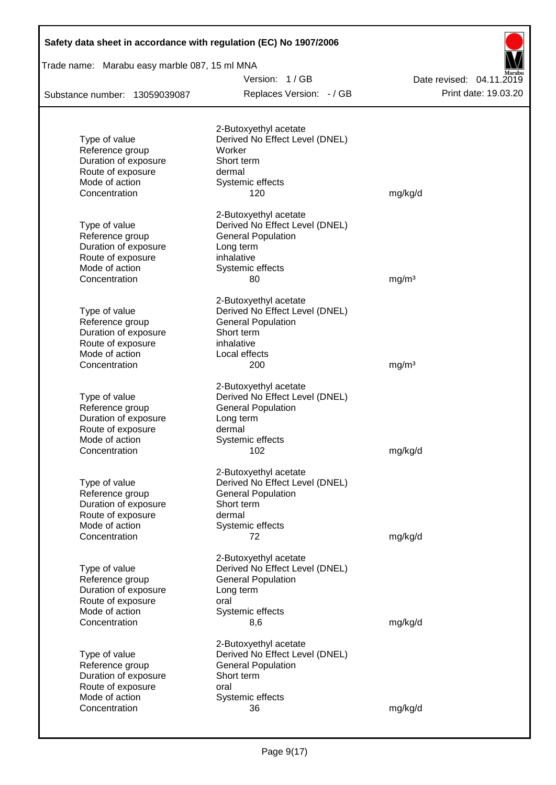| Safety data sheet in accordance with regulation (EC) No 1907/2006                                                |                                                                                                                                           |                          |  |  |  |  |
|------------------------------------------------------------------------------------------------------------------|-------------------------------------------------------------------------------------------------------------------------------------------|--------------------------|--|--|--|--|
| Trade name: Marabu easy marble 087, 15 ml MNA                                                                    |                                                                                                                                           |                          |  |  |  |  |
|                                                                                                                  | Version: 1/GB                                                                                                                             | Date revised: 04.11.2019 |  |  |  |  |
| Substance number: 13059039087                                                                                    | Replaces Version: - / GB                                                                                                                  | Print date: 19.03.20     |  |  |  |  |
| Type of value<br>Reference group<br>Duration of exposure<br>Route of exposure<br>Mode of action                  | 2-Butoxyethyl acetate<br>Derived No Effect Level (DNEL)<br>Worker<br>Short term<br>dermal<br>Systemic effects                             |                          |  |  |  |  |
| Concentration                                                                                                    | 120                                                                                                                                       | mg/kg/d                  |  |  |  |  |
| Type of value<br>Reference group<br>Duration of exposure<br>Route of exposure<br>Mode of action<br>Concentration | 2-Butoxyethyl acetate<br>Derived No Effect Level (DNEL)<br><b>General Population</b><br>Long term<br>inhalative<br>Systemic effects<br>80 | mg/m <sup>3</sup>        |  |  |  |  |
| Type of value<br>Reference group<br>Duration of exposure<br>Route of exposure<br>Mode of action<br>Concentration | 2-Butoxyethyl acetate<br>Derived No Effect Level (DNEL)<br><b>General Population</b><br>Short term<br>inhalative<br>Local effects<br>200  | mg/m <sup>3</sup>        |  |  |  |  |
| Type of value<br>Reference group<br>Duration of exposure<br>Route of exposure<br>Mode of action<br>Concentration | 2-Butoxyethyl acetate<br>Derived No Effect Level (DNEL)<br><b>General Population</b><br>Long term<br>dermal<br>Systemic effects<br>102    | mg/kg/d                  |  |  |  |  |
| Type of value<br>Reference group<br>Duration of exposure<br>Route of exposure<br>Mode of action<br>Concentration | 2-Butoxyethyl acetate<br>Derived No Effect Level (DNEL)<br><b>General Population</b><br>Short term<br>dermal<br>Systemic effects<br>72    | mg/kg/d                  |  |  |  |  |
| Type of value<br>Reference group<br>Duration of exposure<br>Route of exposure<br>Mode of action<br>Concentration | 2-Butoxyethyl acetate<br>Derived No Effect Level (DNEL)<br><b>General Population</b><br>Long term<br>oral<br>Systemic effects<br>8,6      | mg/kg/d                  |  |  |  |  |
| Type of value<br>Reference group<br>Duration of exposure<br>Route of exposure<br>Mode of action<br>Concentration | 2-Butoxyethyl acetate<br>Derived No Effect Level (DNEL)<br><b>General Population</b><br>Short term<br>oral<br>Systemic effects<br>36      | mg/kg/d                  |  |  |  |  |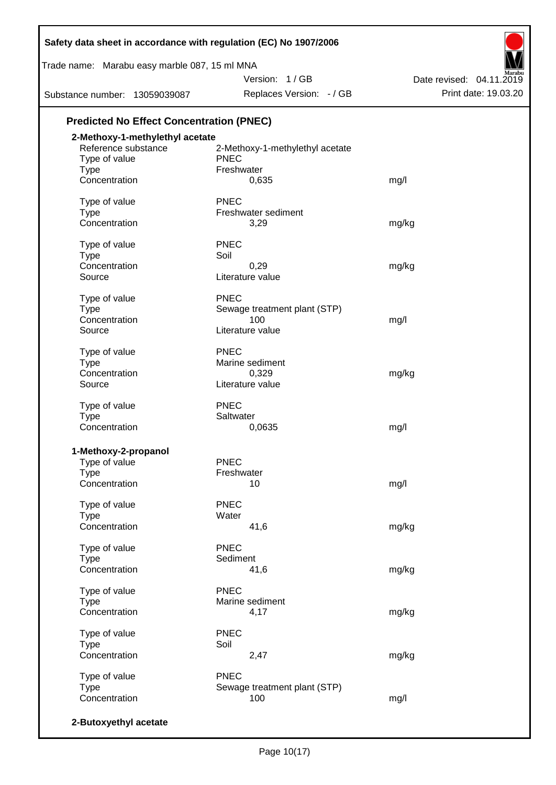| Safety data sheet in accordance with regulation (EC) No 1907/2006 |                                 |                          |
|-------------------------------------------------------------------|---------------------------------|--------------------------|
| Trade name: Marabu easy marble 087, 15 ml MNA                     |                                 |                          |
|                                                                   | Version: 1/GB                   | Date revised: 04.11.2019 |
| Substance number: 13059039087                                     | Replaces Version: - / GB        | Print date: 19.03.20     |
| <b>Predicted No Effect Concentration (PNEC)</b>                   |                                 |                          |
| 2-Methoxy-1-methylethyl acetate                                   |                                 |                          |
| Reference substance                                               | 2-Methoxy-1-methylethyl acetate |                          |
| Type of value                                                     | <b>PNEC</b>                     |                          |
| <b>Type</b>                                                       | Freshwater                      |                          |
| Concentration                                                     | 0,635                           | mg/l                     |
| Type of value                                                     | <b>PNEC</b>                     |                          |
| <b>Type</b>                                                       | Freshwater sediment             |                          |
| Concentration                                                     | 3,29                            | mg/kg                    |
| Type of value                                                     | <b>PNEC</b>                     |                          |
| <b>Type</b>                                                       | Soil                            |                          |
| Concentration                                                     | 0,29                            | mg/kg                    |
| Source                                                            | Literature value                |                          |
| Type of value                                                     | <b>PNEC</b>                     |                          |
| <b>Type</b>                                                       | Sewage treatment plant (STP)    |                          |
| Concentration                                                     | 100                             | mg/l                     |
| Source                                                            | Literature value                |                          |
| Type of value                                                     | <b>PNEC</b>                     |                          |
| <b>Type</b>                                                       | Marine sediment                 |                          |
| Concentration                                                     | 0,329                           | mg/kg                    |
| Source                                                            | Literature value                |                          |
| Type of value                                                     | <b>PNEC</b>                     |                          |
| Type                                                              | Saltwater                       |                          |
| Concentration                                                     | 0,0635                          | mg/l                     |
| 1-Methoxy-2-propanol                                              |                                 |                          |
| Type of value                                                     | <b>PNEC</b>                     |                          |
| Type                                                              | Freshwater                      |                          |
| Concentration                                                     | 10                              | mg/l                     |
| Type of value                                                     | <b>PNEC</b>                     |                          |
| <b>Type</b>                                                       | Water                           |                          |
| Concentration                                                     | 41,6                            | mg/kg                    |
| Type of value                                                     | <b>PNEC</b>                     |                          |
| <b>Type</b>                                                       | Sediment                        |                          |
| Concentration                                                     | 41,6                            | mg/kg                    |
| Type of value                                                     | <b>PNEC</b>                     |                          |
| Type                                                              | Marine sediment                 |                          |
| Concentration                                                     | 4,17                            | mg/kg                    |
| Type of value                                                     | <b>PNEC</b>                     |                          |
| <b>Type</b>                                                       | Soil                            |                          |
| Concentration                                                     | 2,47                            | mg/kg                    |
| Type of value                                                     | <b>PNEC</b>                     |                          |
| <b>Type</b>                                                       | Sewage treatment plant (STP)    |                          |
| Concentration                                                     | 100                             | mg/l                     |
| 2-Butoxyethyl acetate                                             |                                 |                          |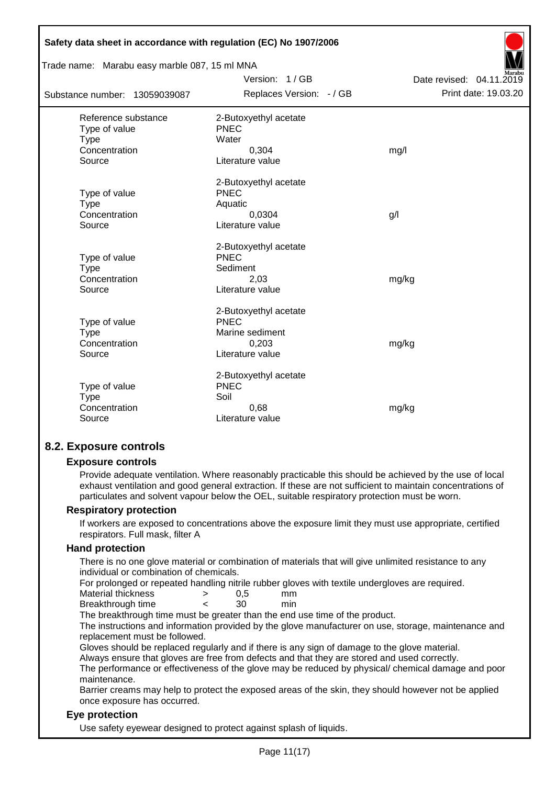| Safety data sheet in accordance with regulation (EC) No 1907/2006              |                                                                                      |                          |  |  |  |
|--------------------------------------------------------------------------------|--------------------------------------------------------------------------------------|--------------------------|--|--|--|
| Trade name: Marabu easy marble 087, 15 ml MNA                                  |                                                                                      |                          |  |  |  |
|                                                                                | Version: 1/GB                                                                        | Date revised: 04.11.2019 |  |  |  |
| Substance number: 13059039087                                                  | Replaces Version: - / GB                                                             | Print date: 19.03.20     |  |  |  |
| Reference substance<br>Type of value<br><b>Type</b><br>Concentration<br>Source | 2-Butoxyethyl acetate<br>PNEC<br>Water<br>0,304<br>Literature value                  | mg/l                     |  |  |  |
| Type of value<br><b>Type</b><br>Concentration<br>Source                        | 2-Butoxyethyl acetate<br><b>PNEC</b><br>Aquatic<br>0.0304<br>Literature value        | g/                       |  |  |  |
| Type of value<br><b>Type</b><br>Concentration<br>Source                        | 2-Butoxyethyl acetate<br>PNEC<br>Sediment<br>2,03<br>Literature value                | mg/kg                    |  |  |  |
| Type of value<br><b>Type</b><br>Concentration<br>Source                        | 2-Butoxyethyl acetate<br><b>PNEC</b><br>Marine sediment<br>0,203<br>Literature value | mg/kg                    |  |  |  |
| Type of value<br><b>Type</b><br>Concentration<br>Source                        | 2-Butoxyethyl acetate<br><b>PNEC</b><br>Soil<br>0,68<br>Literature value             | mg/kg                    |  |  |  |

## **8.2. Exposure controls**

#### **Exposure controls**

Provide adequate ventilation. Where reasonably practicable this should be achieved by the use of local exhaust ventilation and good general extraction. If these are not sufficient to maintain concentrations of particulates and solvent vapour below the OEL, suitable respiratory protection must be worn.

#### **Respiratory protection**

If workers are exposed to concentrations above the exposure limit they must use appropriate, certified respirators. Full mask, filter A

#### **Hand protection**

There is no one glove material or combination of materials that will give unlimited resistance to any individual or combination of chemicals.

For prolonged or repeated handling nitrile rubber gloves with textile undergloves are required.

| Material thickness | 0,5 | mm |
|--------------------|-----|----|
|                    |     |    |

Breakthrough time < 30 min

The breakthrough time must be greater than the end use time of the product.

The instructions and information provided by the glove manufacturer on use, storage, maintenance and replacement must be followed.

Gloves should be replaced regularly and if there is any sign of damage to the glove material.

Always ensure that gloves are free from defects and that they are stored and used correctly.

The performance or effectiveness of the glove may be reduced by physical/ chemical damage and poor maintenance.

Barrier creams may help to protect the exposed areas of the skin, they should however not be applied once exposure has occurred.

#### **Eye protection**

Use safety eyewear designed to protect against splash of liquids.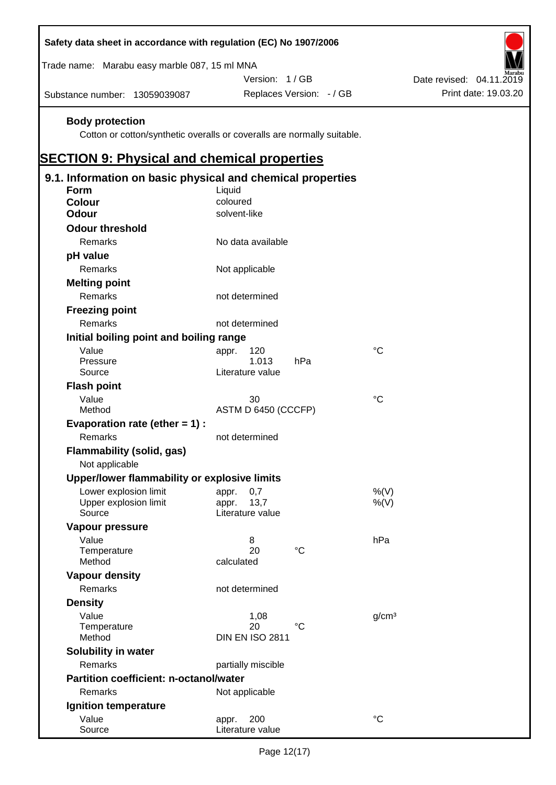| Safety data sheet in accordance with regulation (EC) No 1907/2006                                                                                       |                                   |                          |                   |                          |                      |
|---------------------------------------------------------------------------------------------------------------------------------------------------------|-----------------------------------|--------------------------|-------------------|--------------------------|----------------------|
| Trade name: Marabu easy marble 087, 15 ml MNA                                                                                                           |                                   |                          |                   |                          |                      |
|                                                                                                                                                         | Version: 1/GB                     |                          |                   | Date revised: 04.11.2019 |                      |
| Substance number: 13059039087                                                                                                                           |                                   | Replaces Version: - / GB |                   |                          | Print date: 19.03.20 |
| <b>Body protection</b><br>Cotton or cotton/synthetic overalls or coveralls are normally suitable.<br><b>SECTION 9: Physical and chemical properties</b> |                                   |                          |                   |                          |                      |
| 9.1. Information on basic physical and chemical properties                                                                                              |                                   |                          |                   |                          |                      |
| <b>Form</b>                                                                                                                                             | Liquid                            |                          |                   |                          |                      |
| <b>Colour</b>                                                                                                                                           | coloured                          |                          |                   |                          |                      |
| <b>Odour</b>                                                                                                                                            | solvent-like                      |                          |                   |                          |                      |
| <b>Odour threshold</b>                                                                                                                                  |                                   |                          |                   |                          |                      |
| Remarks                                                                                                                                                 | No data available                 |                          |                   |                          |                      |
| pH value                                                                                                                                                |                                   |                          |                   |                          |                      |
| Remarks                                                                                                                                                 | Not applicable                    |                          |                   |                          |                      |
| <b>Melting point</b>                                                                                                                                    |                                   |                          |                   |                          |                      |
| Remarks                                                                                                                                                 | not determined                    |                          |                   |                          |                      |
| <b>Freezing point</b>                                                                                                                                   |                                   |                          |                   |                          |                      |
| Remarks                                                                                                                                                 | not determined                    |                          |                   |                          |                      |
| Initial boiling point and boiling range                                                                                                                 |                                   |                          |                   |                          |                      |
| Value                                                                                                                                                   | 120<br>appr.                      |                          | $^{\circ}C$       |                          |                      |
| Pressure                                                                                                                                                | 1.013                             | hPa                      |                   |                          |                      |
| Source                                                                                                                                                  | Literature value                  |                          |                   |                          |                      |
| <b>Flash point</b>                                                                                                                                      |                                   |                          |                   |                          |                      |
| Value                                                                                                                                                   | 30                                |                          | $^{\circ}C$       |                          |                      |
| Method                                                                                                                                                  | ASTM D 6450 (CCCFP)               |                          |                   |                          |                      |
| Evaporation rate (ether $= 1$ ) :                                                                                                                       |                                   |                          |                   |                          |                      |
| Remarks                                                                                                                                                 | not determined                    |                          |                   |                          |                      |
| <b>Flammability (solid, gas)</b><br>Not applicable                                                                                                      |                                   |                          |                   |                          |                      |
| Upper/lower flammability or explosive limits                                                                                                            |                                   |                          |                   |                          |                      |
| Lower explosion limit                                                                                                                                   | 0,7<br>appr.                      |                          | %(V)              |                          |                      |
| Upper explosion limit<br>Source                                                                                                                         | 13,7<br>appr.<br>Literature value |                          | %(V)              |                          |                      |
|                                                                                                                                                         |                                   |                          |                   |                          |                      |
| Vapour pressure<br>Value                                                                                                                                |                                   |                          | hPa               |                          |                      |
| Temperature                                                                                                                                             | 8<br>20                           | $^{\circ}C$              |                   |                          |                      |
| Method                                                                                                                                                  | calculated                        |                          |                   |                          |                      |
| <b>Vapour density</b>                                                                                                                                   |                                   |                          |                   |                          |                      |
| Remarks                                                                                                                                                 | not determined                    |                          |                   |                          |                      |
| <b>Density</b>                                                                                                                                          |                                   |                          |                   |                          |                      |
| Value                                                                                                                                                   | 1,08                              |                          | g/cm <sup>3</sup> |                          |                      |
| Temperature                                                                                                                                             | 20                                | $^{\circ}C$              |                   |                          |                      |
| Method                                                                                                                                                  | <b>DIN EN ISO 2811</b>            |                          |                   |                          |                      |
| Solubility in water                                                                                                                                     |                                   |                          |                   |                          |                      |
| Remarks                                                                                                                                                 | partially miscible                |                          |                   |                          |                      |
| <b>Partition coefficient: n-octanol/water</b>                                                                                                           |                                   |                          |                   |                          |                      |
| Remarks                                                                                                                                                 | Not applicable                    |                          |                   |                          |                      |
| Ignition temperature                                                                                                                                    |                                   |                          |                   |                          |                      |
| Value                                                                                                                                                   | 200<br>appr.                      |                          | $\rm ^{\circ}C$   |                          |                      |
| Source                                                                                                                                                  | Literature value                  |                          |                   |                          |                      |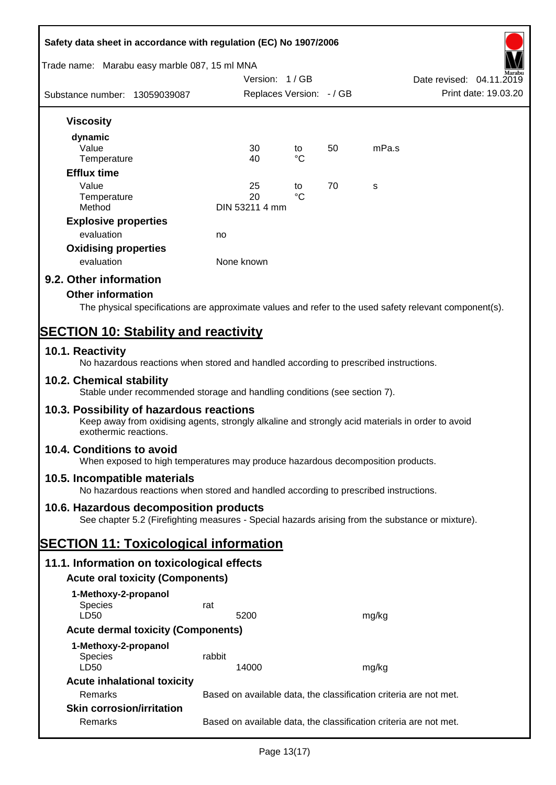| Safety data sheet in accordance with regulation (EC) No 1907/2006                                                                                                     |                                                                   |                          |    |       |                          |
|-----------------------------------------------------------------------------------------------------------------------------------------------------------------------|-------------------------------------------------------------------|--------------------------|----|-------|--------------------------|
| Trade name: Marabu easy marble 087, 15 ml MNA                                                                                                                         |                                                                   | Version: 1 / GB          |    |       | Date revised: 04.11.2019 |
| Substance number: 13059039087                                                                                                                                         |                                                                   | Replaces Version: - / GB |    |       | Print date: 19.03.20     |
| <b>Viscosity</b>                                                                                                                                                      |                                                                   |                          |    |       |                          |
| dynamic<br>Value                                                                                                                                                      | 30                                                                | to                       | 50 | mPa.s |                          |
| Temperature                                                                                                                                                           | 40                                                                | $\rm ^{\circ}C$          |    |       |                          |
| <b>Efflux time</b>                                                                                                                                                    |                                                                   |                          |    |       |                          |
| Value<br>Temperature                                                                                                                                                  | 25<br>20                                                          | to<br>°C                 | 70 | S     |                          |
| Method                                                                                                                                                                | DIN 53211 4 mm                                                    |                          |    |       |                          |
| <b>Explosive properties</b>                                                                                                                                           |                                                                   |                          |    |       |                          |
| evaluation                                                                                                                                                            | no                                                                |                          |    |       |                          |
| <b>Oxidising properties</b>                                                                                                                                           |                                                                   |                          |    |       |                          |
| evaluation                                                                                                                                                            | None known                                                        |                          |    |       |                          |
| 9.2. Other information                                                                                                                                                |                                                                   |                          |    |       |                          |
| <b>Other information</b>                                                                                                                                              |                                                                   |                          |    |       |                          |
| The physical specifications are approximate values and refer to the used safety relevant component(s).                                                                |                                                                   |                          |    |       |                          |
| <b>SECTION 10: Stability and reactivity</b>                                                                                                                           |                                                                   |                          |    |       |                          |
|                                                                                                                                                                       |                                                                   |                          |    |       |                          |
| 10.1. Reactivity<br>No hazardous reactions when stored and handled according to prescribed instructions.                                                              |                                                                   |                          |    |       |                          |
| 10.2. Chemical stability<br>Stable under recommended storage and handling conditions (see section 7).                                                                 |                                                                   |                          |    |       |                          |
| 10.3. Possibility of hazardous reactions<br>Keep away from oxidising agents, strongly alkaline and strongly acid materials in order to avoid<br>exothermic reactions. |                                                                   |                          |    |       |                          |
| 10.4. Conditions to avoid<br>When exposed to high temperatures may produce hazardous decomposition products.                                                          |                                                                   |                          |    |       |                          |
| 10.5. Incompatible materials<br>No hazardous reactions when stored and handled according to prescribed instructions.                                                  |                                                                   |                          |    |       |                          |
| 10.6. Hazardous decomposition products<br>See chapter 5.2 (Firefighting measures - Special hazards arising from the substance or mixture).                            |                                                                   |                          |    |       |                          |
| <b>SECTION 11: Toxicological information</b>                                                                                                                          |                                                                   |                          |    |       |                          |
| 11.1. Information on toxicological effects                                                                                                                            |                                                                   |                          |    |       |                          |
| <b>Acute oral toxicity (Components)</b>                                                                                                                               |                                                                   |                          |    |       |                          |
| 1-Methoxy-2-propanol                                                                                                                                                  |                                                                   |                          |    |       |                          |
| <b>Species</b>                                                                                                                                                        | rat                                                               |                          |    |       |                          |
| LD50                                                                                                                                                                  | 5200                                                              |                          |    | mg/kg |                          |
| <b>Acute dermal toxicity (Components)</b>                                                                                                                             |                                                                   |                          |    |       |                          |
| 1-Methoxy-2-propanol                                                                                                                                                  |                                                                   |                          |    |       |                          |
| <b>Species</b><br>LD50                                                                                                                                                | rabbit<br>14000                                                   |                          |    | mg/kg |                          |
| <b>Acute inhalational toxicity</b>                                                                                                                                    |                                                                   |                          |    |       |                          |
| Remarks                                                                                                                                                               | Based on available data, the classification criteria are not met. |                          |    |       |                          |
| <b>Skin corrosion/irritation</b>                                                                                                                                      |                                                                   |                          |    |       |                          |
| Remarks                                                                                                                                                               | Based on available data, the classification criteria are not met. |                          |    |       |                          |
|                                                                                                                                                                       |                                                                   |                          |    |       |                          |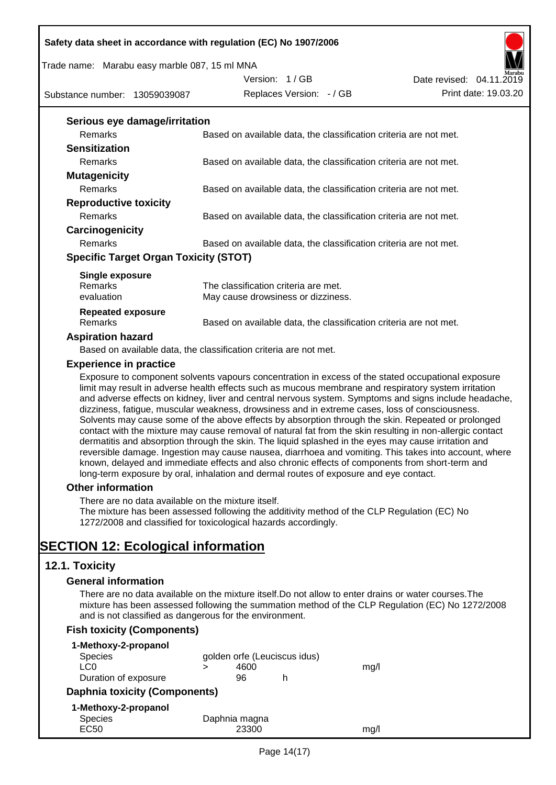#### Trade name: Marabu easy marble 087, 15 ml MNA

Substance number: 13059039087

Version: 1 / GB



#### **Serious eye damage/irritation**

| <u>sensas eye aannagom naasem</u>            |                                                                   |
|----------------------------------------------|-------------------------------------------------------------------|
| <b>Remarks</b>                               | Based on available data, the classification criteria are not met. |
| <b>Sensitization</b>                         |                                                                   |
| <b>Remarks</b>                               | Based on available data, the classification criteria are not met. |
| <b>Mutagenicity</b>                          |                                                                   |
| <b>Remarks</b>                               | Based on available data, the classification criteria are not met. |
| <b>Reproductive toxicity</b>                 |                                                                   |
| Remarks                                      | Based on available data, the classification criteria are not met. |
| Carcinogenicity                              |                                                                   |
| <b>Remarks</b>                               | Based on available data, the classification criteria are not met. |
| <b>Specific Target Organ Toxicity (STOT)</b> |                                                                   |
| Single exposure                              |                                                                   |
| <b>Remarks</b>                               | The classification criteria are met.                              |
| evaluation                                   | May cause drowsiness or dizziness.                                |

#### **Repeated exposure** Remarks Based on available data, the classification criteria are not met.

#### **Aspiration hazard**

Based on available data, the classification criteria are not met.

#### **Experience in practice**

Exposure to component solvents vapours concentration in excess of the stated occupational exposure limit may result in adverse health effects such as mucous membrane and respiratory system irritation and adverse effects on kidney, liver and central nervous system. Symptoms and signs include headache, dizziness, fatigue, muscular weakness, drowsiness and in extreme cases, loss of consciousness. Solvents may cause some of the above effects by absorption through the skin. Repeated or prolonged contact with the mixture may cause removal of natural fat from the skin resulting in non-allergic contact dermatitis and absorption through the skin. The liquid splashed in the eyes may cause irritation and reversible damage. Ingestion may cause nausea, diarrhoea and vomiting. This takes into account, where known, delayed and immediate effects and also chronic effects of components from short-term and long-term exposure by oral, inhalation and dermal routes of exposure and eye contact.

#### **Other information**

There are no data available on the mixture itself.

The mixture has been assessed following the additivity method of the CLP Regulation (EC) No 1272/2008 and classified for toxicological hazards accordingly.

## **SECTION 12: Ecological information**

## **12.1. Toxicity**

#### **General information**

There are no data available on the mixture itself.Do not allow to enter drains or water courses.The mixture has been assessed following the summation method of the CLP Regulation (EC) No 1272/2008 and is not classified as dangerous for the environment.

## **Fish toxicity (Components)**

|                               | 4600  |               | mq/l                         |
|-------------------------------|-------|---------------|------------------------------|
|                               | 96    | h             |                              |
| Daphnia toxicity (Components) |       |               |                              |
|                               |       |               |                              |
|                               |       |               |                              |
|                               | 23300 |               | mq/l                         |
|                               |       | Daphnia magna | golden orfe (Leuciscus idus) |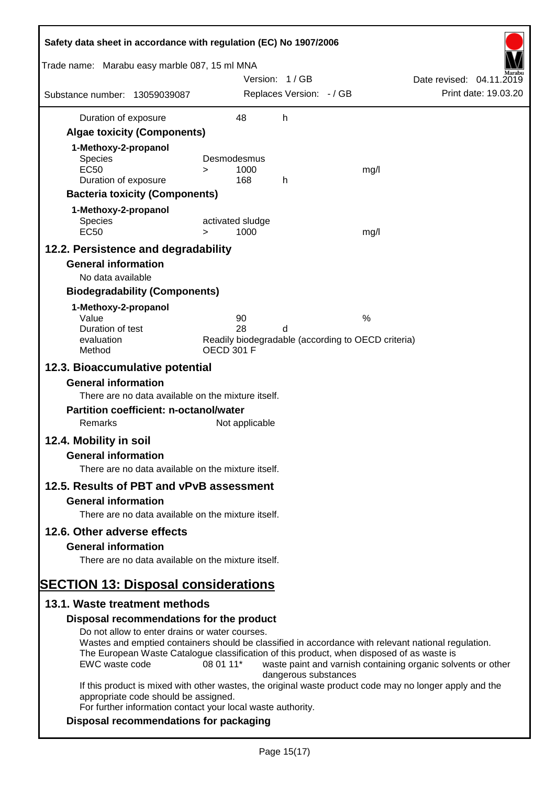| Safety data sheet in accordance with regulation (EC) No 1907/2006                                                                            |                                                                                                                                                                                                                                       |                                                              |
|----------------------------------------------------------------------------------------------------------------------------------------------|---------------------------------------------------------------------------------------------------------------------------------------------------------------------------------------------------------------------------------------|--------------------------------------------------------------|
| Trade name: Marabu easy marble 087, 15 ml MNA                                                                                                |                                                                                                                                                                                                                                       |                                                              |
| Substance number: 13059039087                                                                                                                | Version: 1 / GB<br>Replaces Version: - / GB                                                                                                                                                                                           | Date revised: 04.11.2019<br>Print date: 19.03.20             |
|                                                                                                                                              |                                                                                                                                                                                                                                       |                                                              |
| Duration of exposure                                                                                                                         | 48<br>h                                                                                                                                                                                                                               |                                                              |
| <b>Algae toxicity (Components)</b>                                                                                                           |                                                                                                                                                                                                                                       |                                                              |
| 1-Methoxy-2-propanol                                                                                                                         |                                                                                                                                                                                                                                       |                                                              |
| Species<br><b>EC50</b>                                                                                                                       | Desmodesmus<br>1000<br>$\geq$                                                                                                                                                                                                         | mg/l                                                         |
| Duration of exposure                                                                                                                         | 168<br>h                                                                                                                                                                                                                              |                                                              |
| <b>Bacteria toxicity (Components)</b>                                                                                                        |                                                                                                                                                                                                                                       |                                                              |
| 1-Methoxy-2-propanol                                                                                                                         |                                                                                                                                                                                                                                       |                                                              |
| Species<br><b>EC50</b>                                                                                                                       | activated sludge<br>1000<br>$\geq$                                                                                                                                                                                                    | mg/l                                                         |
| 12.2. Persistence and degradability                                                                                                          |                                                                                                                                                                                                                                       |                                                              |
| <b>General information</b>                                                                                                                   |                                                                                                                                                                                                                                       |                                                              |
| No data available                                                                                                                            |                                                                                                                                                                                                                                       |                                                              |
| <b>Biodegradability (Components)</b>                                                                                                         |                                                                                                                                                                                                                                       |                                                              |
| 1-Methoxy-2-propanol                                                                                                                         |                                                                                                                                                                                                                                       |                                                              |
| Value                                                                                                                                        | 90                                                                                                                                                                                                                                    | $\%$                                                         |
| Duration of test<br>evaluation                                                                                                               | 28<br>d<br>Readily biodegradable (according to OECD criteria)                                                                                                                                                                         |                                                              |
| Method                                                                                                                                       | <b>OECD 301 F</b>                                                                                                                                                                                                                     |                                                              |
| 12.3. Bioaccumulative potential                                                                                                              |                                                                                                                                                                                                                                       |                                                              |
| <b>General information</b><br>There are no data available on the mixture itself.<br><b>Partition coefficient: n-octanol/water</b><br>Remarks | Not applicable                                                                                                                                                                                                                        |                                                              |
|                                                                                                                                              |                                                                                                                                                                                                                                       |                                                              |
| 12.4. Mobility in soil<br><b>General information</b>                                                                                         |                                                                                                                                                                                                                                       |                                                              |
| There are no data available on the mixture itself.                                                                                           |                                                                                                                                                                                                                                       |                                                              |
| 12.5. Results of PBT and vPvB assessment                                                                                                     |                                                                                                                                                                                                                                       |                                                              |
| <b>General information</b>                                                                                                                   |                                                                                                                                                                                                                                       |                                                              |
| There are no data available on the mixture itself.                                                                                           |                                                                                                                                                                                                                                       |                                                              |
| 12.6. Other adverse effects                                                                                                                  |                                                                                                                                                                                                                                       |                                                              |
| <b>General information</b>                                                                                                                   |                                                                                                                                                                                                                                       |                                                              |
| There are no data available on the mixture itself.                                                                                           |                                                                                                                                                                                                                                       |                                                              |
|                                                                                                                                              |                                                                                                                                                                                                                                       |                                                              |
| <b>SECTION 13: Disposal considerations</b>                                                                                                   |                                                                                                                                                                                                                                       |                                                              |
| 13.1. Waste treatment methods                                                                                                                |                                                                                                                                                                                                                                       |                                                              |
| Disposal recommendations for the product                                                                                                     |                                                                                                                                                                                                                                       |                                                              |
| Do not allow to enter drains or water courses.<br>EWC waste code                                                                             | Wastes and emptied containers should be classified in accordance with relevant national regulation.<br>The European Waste Catalogue classification of this product, when disposed of as waste is<br>08 01 11*<br>dangerous substances | waste paint and varnish containing organic solvents or other |
| appropriate code should be assigned.                                                                                                         | If this product is mixed with other wastes, the original waste product code may no longer apply and the<br>For further information contact your local waste authority.                                                                |                                                              |
| Disposal recommendations for packaging                                                                                                       |                                                                                                                                                                                                                                       |                                                              |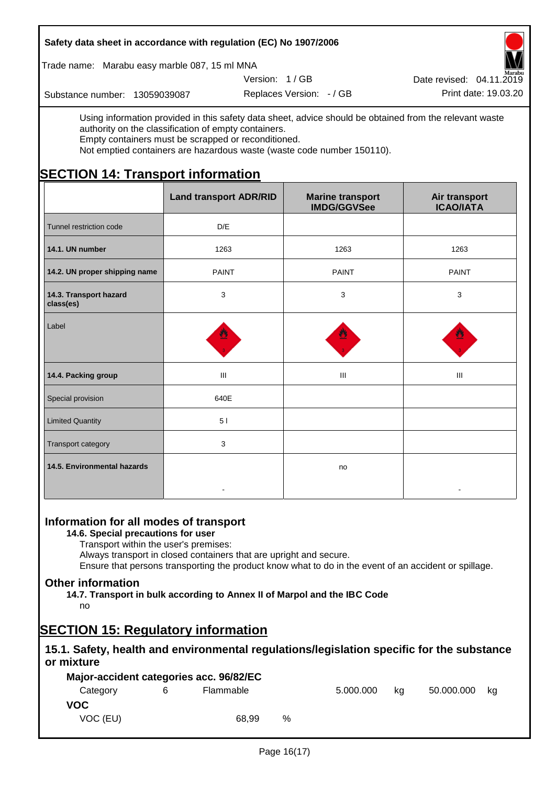Trade name: Marabu easy marble 087, 15 ml MNA

Version: 1 / GB

Replaces Version:  $-$  / GB Print date: 19.03.20 Date revised: 04.11.2019

Substance number: 13059039087

Using information provided in this safety data sheet, advice should be obtained from the relevant waste authority on the classification of empty containers. Empty containers must be scrapped or reconditioned.

Not emptied containers are hazardous waste (waste code number 150110).

# **SECTION 14: Transport information**

|                                     | <b>Land transport ADR/RID</b> | <b>Marine transport</b><br><b>IMDG/GGVSee</b> | Air transport<br><b>ICAO/IATA</b> |
|-------------------------------------|-------------------------------|-----------------------------------------------|-----------------------------------|
| Tunnel restriction code             | D/E                           |                                               |                                   |
| 14.1. UN number                     | 1263                          | 1263                                          | 1263                              |
| 14.2. UN proper shipping name       | <b>PAINT</b>                  | <b>PAINT</b>                                  | <b>PAINT</b>                      |
| 14.3. Transport hazard<br>class(es) | 3                             | $\mathbf{3}$                                  | 3                                 |
| Label                               | 썔                             |                                               |                                   |
| 14.4. Packing group                 | Ш                             | III                                           | III                               |
| Special provision                   | 640E                          |                                               |                                   |
| <b>Limited Quantity</b>             | 51                            |                                               |                                   |
| Transport category                  | 3                             |                                               |                                   |
| 14.5. Environmental hazards         |                               | no                                            |                                   |

## **Information for all modes of transport**

**14.6. Special precautions for user**

Transport within the user's premises:

Always transport in closed containers that are upright and secure.

Ensure that persons transporting the product know what to do in the event of an accident or spillage.

## **Other information**

**14.7. Transport in bulk according to Annex II of Marpol and the IBC Code** no

# **SECTION 15: Regulatory information**

## **15.1. Safety, health and environmental regulations/legislation specific for the substance or mixture**

|          | Major-accident categories acc. 96/82/EC |   |           |    |            |    |
|----------|-----------------------------------------|---|-----------|----|------------|----|
| Category | Flammable                               |   | 5.000.000 | ka | 50.000.000 | ka |
| VOC.     |                                         |   |           |    |            |    |
| VOC (EU) | 68.99                                   | % |           |    |            |    |